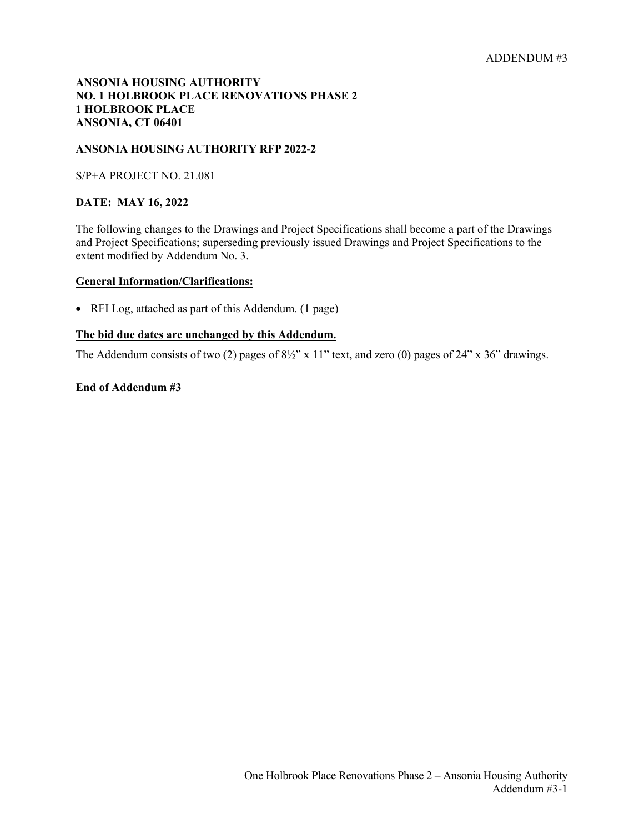## **ANSONIA HOUSING AUTHORITY NO. 1 HOLBROOK PLACE RENOVATIONS PHASE 2 1 HOLBROOK PLACE ANSONIA, CT 06401**

# **ANSONIA HOUSING AUTHORITY RFP 2022-2**

S/P+A PROJECT NO. 21.081

# **DATE: MAY 16, 2022**

The following changes to the Drawings and Project Specifications shall become a part of the Drawings and Project Specifications; superseding previously issued Drawings and Project Specifications to the extent modified by Addendum No. 3.

#### **General Information/Clarifications:**

• RFI Log, attached as part of this Addendum. (1 page)

## **The bid due dates are unchanged by this Addendum.**

The Addendum consists of two (2) pages of  $8\frac{1}{2}$ " x 11" text, and zero (0) pages of 24" x 36" drawings.

## **End of Addendum #3**